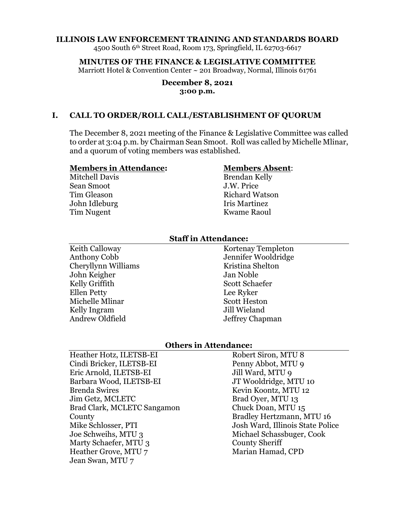#### **ILLINOIS LAW ENFORCEMENT TRAINING AND STANDARDS BOARD**

4500 South 6th Street Road, Room 173, Springfield, IL 62703-6617

**MINUTES OF THE FINANCE & LEGISLATIVE COMMITTEE** Marriott Hotel & Convention Center ~ 201 Broadway, Normal, Illinois 61761

#### **December 8, 2021 3:00 p.m.**

### **I. CALL TO ORDER/ROLL CALL/ESTABLISHMENT OF QUORUM**

The December 8, 2021 meeting of the Finance & Legislative Committee was called to order at 3:04 p.m. by Chairman Sean Smoot. Roll was called by Michelle Mlinar, and a quorum of voting members was established.

#### **Members in Attendance:**

Mitchell Davis Sean Smoot Tim Gleason John Idleburg Tim Nugent

#### **Members Absent**:

Brendan Kelly J.W. Price Richard Watson Iris Martinez Kwame Raoul

#### **Staff in Attendance:**

Keith Calloway Anthony Cobb Cheryllynn Williams John Keigher Kelly Griffith Ellen Petty Michelle Mlinar Kelly Ingram Andrew Oldfield

Kortenay Templeton Jennifer Wooldridge Kristina Shelton Jan Noble Scott Schaefer Lee Ryker Scott Heston Jill Wieland Jeffrey Chapman

### **Others in Attendance:**

Heather Hotz, ILETSB-EI Cindi Bricker, ILETSB-EI Eric Arnold, ILETSB-EI Barbara Wood, ILETSB-EI Brenda Swires Jim Getz, MCLETC Brad Clark, MCLETC Sangamon **County** Mike Schlosser, PTI Joe Schweihs, MTU 3 Marty Schaefer, MTU 3 Heather Grove, MTU 7 Jean Swan, MTU 7

Robert Siron, MTU 8 Penny Abbot, MTU 9 Jill Ward, MTU 9 JT Wooldridge, MTU 10 Kevin Koontz, MTU 12 Brad Oyer, MTU 13 Chuck Doan, MTU 15 Bradley Hertzmann, MTU 16 Josh Ward, Illinois State Police Michael Schassbuger, Cook County Sheriff Marian Hamad, CPD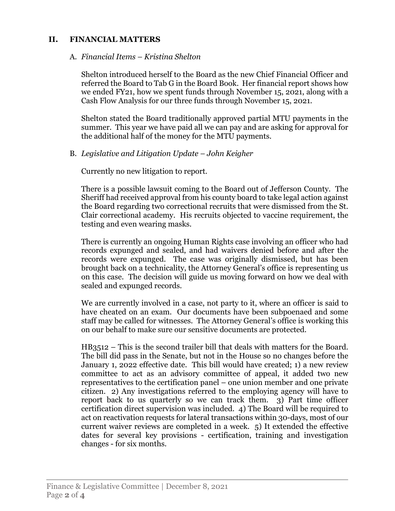# **II. FINANCIAL MATTERS**

### A. *Financial Items – Kristina Shelton*

Shelton introduced herself to the Board as the new Chief Financial Officer and referred the Board to Tab G in the Board Book. Her financial report shows how we ended FY21, how we spent funds through November 15, 2021, along with a Cash Flow Analysis for our three funds through November 15, 2021.

Shelton stated the Board traditionally approved partial MTU payments in the summer. This year we have paid all we can pay and are asking for approval for the additional half of the money for the MTU payments.

## B. *Legislative and Litigation Update – John Keigher*

Currently no new litigation to report.

There is a possible lawsuit coming to the Board out of Jefferson County. The Sheriff had received approval from his county board to take legal action against the Board regarding two correctional recruits that were dismissed from the St. Clair correctional academy. His recruits objected to vaccine requirement, the testing and even wearing masks.

There is currently an ongoing Human Rights case involving an officer who had records expunged and sealed, and had waivers denied before and after the records were expunged. The case was originally dismissed, but has been brought back on a technicality, the Attorney General's office is representing us on this case. The decision will guide us moving forward on how we deal with sealed and expunged records.

We are currently involved in a case, not party to it, where an officer is said to have cheated on an exam. Our documents have been subpoenaed and some staff may be called for witnesses. The Attorney General's office is working this on our behalf to make sure our sensitive documents are protected.

HB3512 – This is the second trailer bill that deals with matters for the Board. The bill did pass in the Senate, but not in the House so no changes before the January 1, 2022 effective date. This bill would have created; 1) a new review committee to act as an advisory committee of appeal, it added two new representatives to the certification panel – one union member and one private citizen. 2) Any investigations referred to the employing agency will have to report back to us quarterly so we can track them. 3) Part time officer certification direct supervision was included. 4) The Board will be required to act on reactivation requests for lateral transactions within 30-days, most of our current waiver reviews are completed in a week. 5) It extended the effective dates for several key provisions - certification, training and investigation changes - for six months.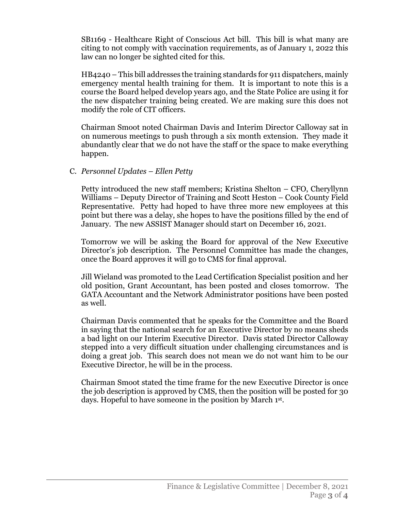SB1169 - Healthcare Right of Conscious Act bill. This bill is what many are citing to not comply with vaccination requirements, as of January 1, 2022 this law can no longer be sighted cited for this.

HB4240 – This bill addresses the training standards for 911 dispatchers, mainly emergency mental health training for them. It is important to note this is a course the Board helped develop years ago, and the State Police are using it for the new dispatcher training being created. We are making sure this does not modify the role of CIT officers.

Chairman Smoot noted Chairman Davis and Interim Director Calloway sat in on numerous meetings to push through a six month extension. They made it abundantly clear that we do not have the staff or the space to make everything happen.

# C. *Personnel Updates – Ellen Petty*

Petty introduced the new staff members; Kristina Shelton – CFO, Cheryllynn Williams – Deputy Director of Training and Scott Heston – Cook County Field Representative. Petty had hoped to have three more new employees at this point but there was a delay, she hopes to have the positions filled by the end of January. The new ASSIST Manager should start on December 16, 2021.

Tomorrow we will be asking the Board for approval of the New Executive Director's job description. The Personnel Committee has made the changes, once the Board approves it will go to CMS for final approval.

Jill Wieland was promoted to the Lead Certification Specialist position and her old position, Grant Accountant, has been posted and closes tomorrow. The GATA Accountant and the Network Administrator positions have been posted as well.

Chairman Davis commented that he speaks for the Committee and the Board in saying that the national search for an Executive Director by no means sheds a bad light on our Interim Executive Director. Davis stated Director Calloway stepped into a very difficult situation under challenging circumstances and is doing a great job. This search does not mean we do not want him to be our Executive Director, he will be in the process.

Chairman Smoot stated the time frame for the new Executive Director is once the job description is approved by CMS, then the position will be posted for 30 days. Hopeful to have someone in the position by March 1st.